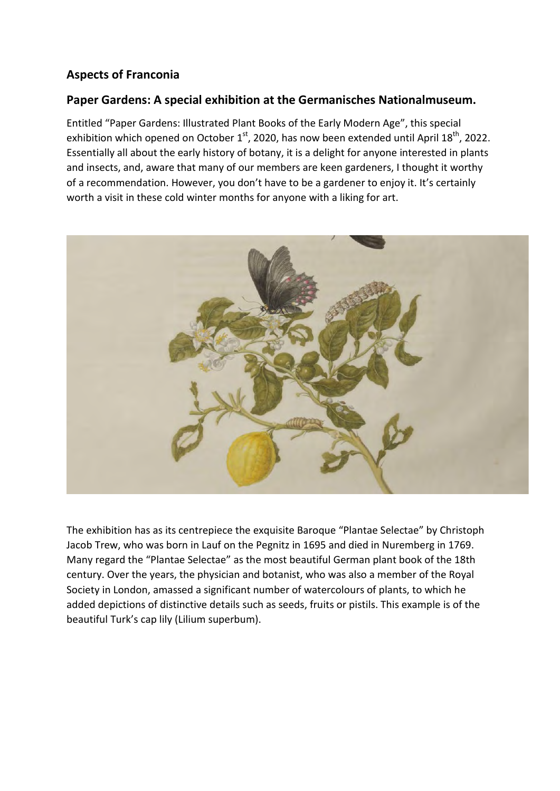## **Aspects of Franconia**

## **Paper Gardens: A special exhibition at the Germanisches Nationalmuseum.**

Entitled "Paper Gardens: Illustrated Plant Books of the Early Modern Age", this special exhibition which opened on October  $1<sup>st</sup>$ , 2020, has now been extended until April  $18<sup>th</sup>$ , 2022. Essentially all about the early history of botany, it is a delight for anyone interested in plants and insects, and, aware that many of our members are keen gardeners, I thought it worthy of a recommendation. However, you don't have to be a gardener to enjoy it. It's certainly worth a visit in these cold winter months for anyone with a liking for art.



The exhibition has as its centrepiece the exquisite Baroque "Plantae Selectae" by Christoph Jacob Trew, who was born in Lauf on the Pegnitz in 1695 and died in Nuremberg in 1769. Many regard the "Plantae Selectae" as the most beautiful German plant book of the 18th century. Over the years, the physician and botanist, who was also a member of the Royal Society in London, amassed a significant number of watercolours of plants, to which he added depictions of distinctive details such as seeds, fruits or pistils. This example is of the beautiful Turk's cap lily (Lilium superbum).